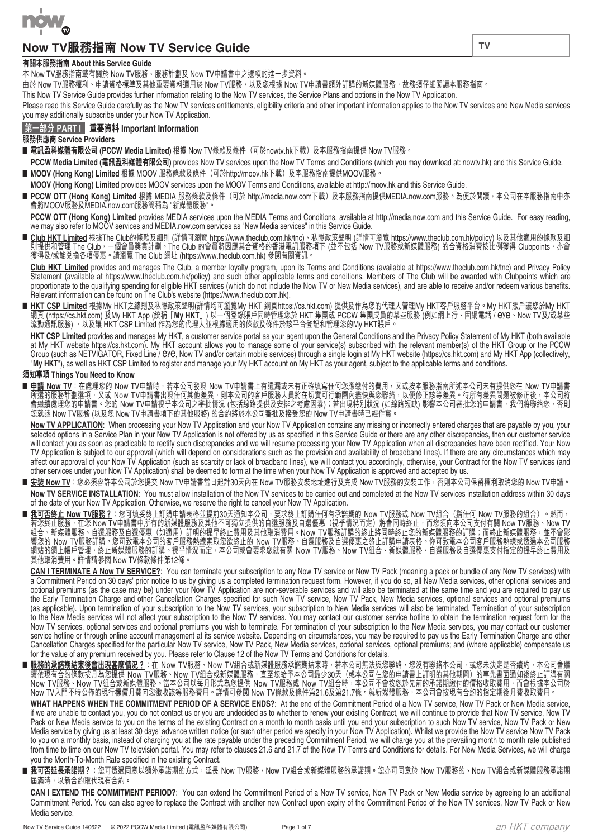

# **Now TV服務指南 Now TV Service Guide**

### **有關本服務指南 About this Service Guide**

本 Now TV服務指南載有關於 Now TV服務、服務計劃及 Now TV申請書中之選項的進一步資料。

由於 Now TV服務權利、申請資格標準及其他重要資料適用於 Now TV服務,以及您根據 Now TV申請書額外訂購的新媒體服務,故務須仔細閱讀本服務指南。

This Now TV Service Guide provides further information relating to the Now TV services, the Service Plans and options in the Now TV Application.

Please read this Service Guide carefully as the Now TV services entitlements, eligibility criteria and other important information applies to the Now TV services and New Media services you may additionally subscribe under your Now TV Application.

### **第一部分 PART I 重要資料 Important Information**

**服務供應商 Service Providers**

■ 電訊盈科媒體有限公司 (PCCW Media Limited) 根據 Now TV條款及條件(可於nowtv.hk下載)及本服務指南提供 Now TV服務。

**PCCW Media Limited (電訊盈科媒體有限公司)** provides Now TV services upon the Now TV Terms and Conditions (which you may download at: nowtv.hk) and this Service Guide. ■ **MOOV (Hong Kong) Limited** 根據 MOOV 服務條款及條件(可於http://moov.hk下載)及本服務指南提供MOOV服務。

**MOOV (Hong Kong) Limited** provides MOOV services upon the MOOV Terms and Conditions, available at http://moov.hk and this Service Guide.

■ PCCW OTT (Hong Kong) Limited 根據 MEDIA 服務條款及條件(可於 http://media.now.com下載)及本服務指南提供MEDIA.now.com服務。為便於閲讀,本公司在本服務指南中亦 會將MOOV服務及MEDIA.now.com服務簡稱為 "新媒體服務"。

**PCCW OTT (Hong Kong) Limited** provides MEDIA services upon the MEDIA Terms and Conditions, available at http://media.now.com and this Service Guide. For easy reading, we may also refer to MOOV services and MEDIA.now.com services as "New Media services" in this Service Guide.

■ <u>Club HKT Limited</u> 根據 I he Club的條款及細則 (詳情可瀏覽 https://www.theclub.com.hk/tnc)、私隱政束聲明 (詳情可瀏覽 https://www.theclub.com.hk/policy) 以及其他週用的條款及細 則提供和官埋 The Club,一個曾員獎員計劃。The Club 的曾員將因應其合資格的香港電訊服務項下 (亚个包括 Now TV服務或新媒體服務) 的合貧格消費按比例獲得 Clubpoints,亦曾 獲得及/或能兌換各項優惠。請瀏覽 The Club 網址 (https://www.theclub.com.hk) 參閱有關資訊。

**Club HKT Limited** provides and manages The Club, a member loyalty program, upon its Terms and Conditions (available at https://www.theclub.com.hk/tnc) and Privacy Policy Statement (available at https://www.theclub.com.hk/policy) and such other applicable terms and conditions. Members of The Club will be awarded with Clubpoints which are proportionate to the qualitying spending for eligible HKT services (which do not include the Now TV or New Media services), and are able to receive and/or redeem various benetits. Relevant information can be found on The Club's website (https://www.theclub.com.hk).

■ <u>HKT CSP Limited</u> 根據My HKTZ總則及私隱政束聲明(詳情均可瀏覽My HKT 網貝https://cs.hkt.com) 提供及作為慾的代埋人官埋My HKT客尸服務半台 ° My HKT賬尸讓慾於My HKT<br>- 網頁 (https://cs.hkt.com) 及My HKT App (統稱「**My HKT**」) 以一個登錄賬戶同時管理您於 HKT 集團或 PCCW 集團成員的某些服務 (例如網上行 <sup>、</sup>固 流動通訊服務) ,以及讓 HKT CSP Limited 作為您的代埋人亚根據週用的條款及條件於該半台登記和官埋您的My HKT賬戶。

**HKT CSP Limited** provides and manages My HKT, a customer service portal as your agent upon the General Conditions and the Privacy Policy Statement of My HKT (both available at My HKT website https://cs.hkt.com). My HKT account allows you to manage some of your service(s) subscribed with the relevant member(s) of the HKT Group or the PCCW Group (such as NETVIGATOR, Fixed Line / eye, Now TV and/or certain mobile services) through a single login at My HKT website (https://cs.hkt.com) and My HKT App (collectively, "**My HKT**"), as well as HKT CSP Limited to register and manage your My HKT account on My HKT as your agent, subject to the applicable terms and conditions.

### **須知事項 Things You Need to Know**

■ <u>甲請 Now TV</u>:在處埋您的 Now TV申請時,若本公司發現 Now TV申請書上有遺漏或禾有止確填寫仕何您應繳付的費用,乂或按本服務指南所延本公司禾有提供您在 Now TV申請書 所選的服務計劃選項,乂或 Now TV申請書出現仕何具他差異,則本公司的各尸服務人員將仕切貰可行軋圍内盡快與慾聯絡,以便修止該寺差異。待所有差異問題被修止後,本公司將 曾繼續處埋您的申請書。您的 Now TV申請視于本公司乙番批情况 (包括線路提供及女排乙考慮因素);若出現特別狀况 (如線路短缺) 影響本公司番批您的申請書,我們將聯絡您,合則 您就該 Now TV服務 (以及您 Now TV申請書項下的其他服務) 的合約將於本公司審批及接受您的 Now TV申請書時已經作實。

**Now TV APPLICATION**: When processing your Now TV Application and your Now TV Application contains any missing or incorrectly entered charges that are payable by you, your selected options in a Service Plan in your Now TV Application is not offered by us as specified in this Service Guide or there are any other discrepancies, then our customer service will contact you as soon as practicable to rectify such discrepancies and we will resume processing your Now TV Application when all discrepancies have been rectified. Your Now TV Application is subject to our approval (which will depend on considerations such as the provision and availability of broadband lines). If there are any circumstances which may affect our approval of your Now TV Application (such as scarcity or lack of broadband lines), we will contact you accordingly, otherwise, your Contract for the Now TV services (and other services under your Now TV Application) shall be deemed to form at the time when your Now TV Application is approved and accepted by us.

- <u>安裝 Now TV</u>:您必須容許本公司於您提交 Now TV申請書當日起計30天內在 Now TV服務安裝地址進行及完成 Now TV服務的安裝工作<sup>,</sup>否則本公司保留權利取消您的 Now TV申請。 **Now TV SERVICE INSTALLATION**: You must allow installation of the Now TV services to be carried out and completed at the Now TV services installation address within 30 days of the date of your Now TV Application. Otherwise, we reserve the right to cancel your Now TV Application.
- <u>我可否終止 Now TV服務?</u>:您可填妥終止訂購甲請表格亚提前30大通知本公司<sup>,</sup>要求終止訂購仕何有承諾期的 Now TV服務或 Now TV組合(指仕何 Now TV服務的組合) 。然而, 若您終止服務,仕您 Now TV申請書中所有的新媒體服務及具他个可獨立提供的自選服務及自選優惠(視乎情况而定)將曾同時終止,而您須问本公司支付有關 Now TV服務、Now TV 組合、新媒體服務、自選服務及自選優惠(如週用)訂明的提早終止費用及其他取消費用。Now IV服務訂購的終止將同時終止您的新媒體服務的訂購;而終止新媒體服務,亚个曾影 響您的 Now TV服務訂購。您可致電本公司的客戶服務熱線索取您欲終止的 Now TV服務、自選服務及自選優惠之終止訂購申請表格。你可致電本公司客戶服務熱線或透過本公司服務 網站的網上帳戶管理<sup>,</sup>終止新媒體服務的訂購。視乎情況而定,本公司或會要求您就有關 Now TV服務、Now TV組合、新媒體服務、自選服務及自選優惠支付指定的提早終止費用及 其他取消費用。詳情請參閱 Now TV條款條件第12條。

**CAN I TERMINATE A Now TV SERVICE?**: You can terminate your subscription to any Now TV service or Now TV Pack (meaning a pack or bundle of any Now TV services) with a Commitment Period on 30 days' prior notice to us by giving us a completed termination request form. However, if you do so, all New Media services, other optional services and optional premiums (as the case may be) under your Now TV Application are non-severable services and will also be terminated at the same time and you are required to pay us the Early Termination Charge and other Cancellation Charges specitied for such Now TV service, Now TV Pack, New Media services, optional services and optional premiums (as applicable). Upon termination of your subscription to the Now TV services, your subscription to New Media services will also be terminated. Termination of your subscription to the New Media services will not affect your subscription to the Now TV services. You may contact our customer service hotline to obtain the termination request form for the Now TV services, optional services and optional premiums you wish to terminate. For termination of your subscription to the New Media services, you may contact our customer service hotline or through online account management at its service website. Depending on circumstances, you may be required to pay us the Early Termination Charge and other Cancellation Charges specified for the particular Now TV service, Now TV Pack, New Media services, optional services, optional premiums; and (where applicable) compensate us for the value of any premium received by you. Please refer to Clause 12 of the Now TV Terms and Conditions for details.

■ <u>服務的承諾期結束後曹出現甚麼情況?</u>:在 Now TV服務、Now TV組合或新媒體服務承諾期結束時,若本公司無法與您聯絡、您沒有聯絡本公司,或您禾決定是合續約,本公司曾繼 讀依現有合約條款按月為您提供 Now IV服務、Now IV組合或新媒體服務,且全您給予本公司最少30大(或本公司任您的申請書上訂明的其他期間)的事先書面通知後終止訂購有關 Now IV服務、Now IV組合或新媒體服務。當本公司以每月形式為您提供 Now IV服務或 Now IV組合時,本公司个曾按您於先刖的承諾期繳付的償格收取費用,而曾根據本公司於 Now TV入門不時公佈的現行標價月費向您徵收該等服務費用。詳情可參閱 Now TV條款及條件第21.6及第21.7條。就新媒體服務,本公司會按現有合約的指定期後月費收取費用。

**WHAT HAPPENS WHEN THE COMMITMENT PERIOD OF A SERVICE ENDS?**: At the end of the Commitment Period of a Now TV service, Now TV Pack or New Media service, if we are unable to contact you, you do not contact us or you are undecided as to whether to renew your existing Contract, we will continue to provide that Now TV service, Now TV Pack or New Media service to you on the terms of the existing Contract on a month to month basis until you end your subscription to such Now TV service, Now TV Pack or New Media service by giving us at least 30 days' advance written notice (or such other period we specify in your Now TV Application). Whilst we provide the Now TV service Now TV Pack to you on a monthly basis, instead of charging you at the rate payable under the preceding Commitment Period, we will charge you at the prevailing month to month rate published from time to time on our Now TV television portal. You may refer to clauses 21.6 and 21.7 of the Now TV Terms and Conditions for details. For New Media Services, we will charge you the Month-To-Month Rate specified in the existing Contract.

■ <mark>我可否延長承諾期?</mark>:您可透過同意以額外承諾期的方式,延長 Now TV服務、Now TV組合或新媒體服務的承諾期。您亦可同意於 Now TV服務的、Now TV組合或新媒體服務承諾期 屆滿時,以新合約取代現有合約。

**CAN I EXTEND THE COMMITMENT PERIOD?**: You can extend the Commitment Period of a Now TV service, Now TV Pack or New Media service by agreeing to an additional Commitment Period. You can also agree to replace the Contract with another new Contract upon expiry of the Commitment Period of the Now TV services, Now TV Pack or New Media service.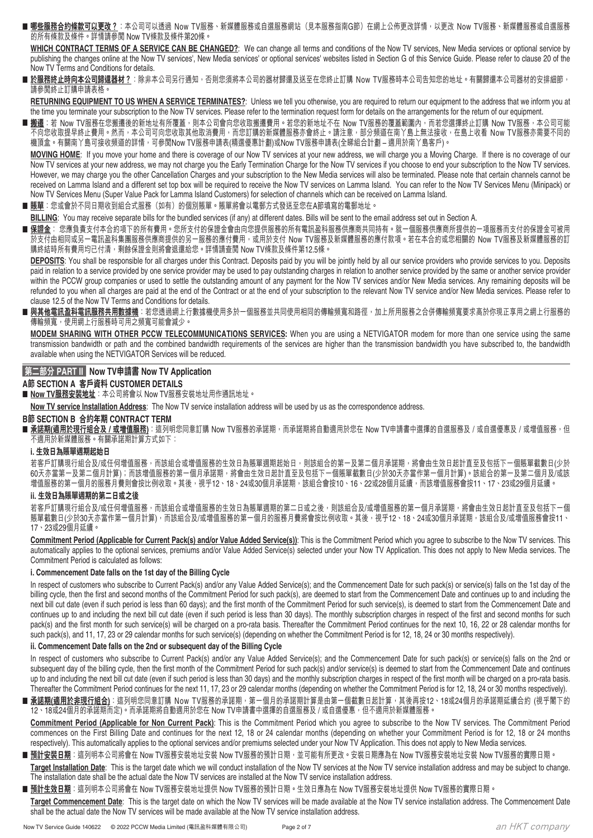■ <u>哪些服務合約條款可以更改?</u>:本公司可以透過 Now TV服務、新媒體服務或自選服務網站(見本服務指南G節)在網上公佈更改詳情,以更改 Now TV服務、新媒體服務或自選服務 的所有條款及條件。詳情請參閱 Now TV條款及條件第20條。

**WHICH CONTRACT TERMS OF A SERVICE CAN BE CHANGED?**: We can change all terms and conditions of the Now TV services, New Media services or optional service by publishing the changes online at the Now TV services', New Media services' or optional services' websites listed in Section G of this Service Guide. Please refer to clause 20 of the Now TV Terms and Conditions for details.

■ **於服務終止時向本公司歸還器材?**:除非本公司另行通知,否則您須將本公司的器材歸還及送至在您終止訂購 Now TV服務時本公司告知您的地址。有關歸還本公司器材的安排細節, 請參閱終止訂購申請表格。

**RETURNING EQUIPMENT TO US WHEN A SERVICE TERMINATES?**: Unless we tell you otherwise, you are required to return our equipment to the address that we inform you at the time you terminate your subscription to the Now TV services. Please refer to the termination request form for details on the arrangements for the return of our equipment.

■ **搬遷**:若 Now TV服務在您搬遷後的新地址有所覆蓋,則本公司會向您收取搬遷費用。若您的新地址不在 Now TV服務的覆蓋範圍內,而若您選擇終止訂購 Now TV服務,本公司可能 不向您收取提早終止費用。然而,本公司可向您收取其他取消費用,而您訂購的新媒體服務亦會終止。請注意,部分頻道在南丫島上無法接收,在島上收看 Now TV服務亦需要不同的 機頂盒。有關南丫島可接收頻道的詳情,可參閱Now TV服務申請表(精選優惠計劃)或Now TV服務申請表(全睇組合計劃 – 適用於南丫島客戶)。

**MOVING HOME**: If you move your home and there is coverage of our Now TV services at your new address, we will charge you a Moving Charge. If there is no coverage of our Now TV services at your new address, we may not charge you the Early Termination Charge for the Now TV services if you choose to end your subscription to the Now TV services. However, we may charge you the other Cancellation Charges and your subscription to the New Media services will also be terminated. Please note that certain channels cannot be received on Lamma Island and a different set top box will be required to receive the Now TV services on Lamma Island. You can refer to the Now TV Services Menu (Minipack) or Now TV Services Menu (Super Value Pack for Lamma Island Customers) for selection of channels which can be received on Lamma Island.

■ **賬單**:您或會於不同日期收到組合式服務(如有)的個別賬單。賬單將會以電郵方式發送至您在A節填寫的電郵地址。

**BILLING**: You may receive separate bills for the bundled services (if any) at different dates. Bills will be sent to the email address set out in Section A.

**■ <u>保證金</u>: 您應負責支付本合約項下的所有費用。您所支付的保證金會由向您提供服務的所有電訊盈科服務供應商共同持有。就一個服務供應商所提供的一項服務而支付的保證金可被用** 於支付田相同或另一電訊盈科集團服務供應商提供的另一服務的應付費用,或用於支付 Now TV服務及新媒體服務的應付款項。若仕本合約或您相關的 Now TV服務及新媒體服務的訂 購終結時所有費用均巳付凊,剩餘保證金則將曾退遠給您。詳情請查閱 Now IV條款及條件第12.5條。

**DEPOSITS**: You shall be responsible for all charges under this Contract. Deposits paid by you will be jointly held by all our service providers who provide services to you. Deposits paid in relation to a service provided by one service provider may be used to pay outstanding charges in relation to another service provided by the same or another service provider within the PCCW group companies or used to settle the outstanding amount of any payment for the Now TV services and/or New Media services. Any remaining deposits will be refunded to you when all charges are paid at the end of the Contract or at the end of your subscription to the relevant Now TV service and/or New Media services. Please refer to clause 12.5 of the Now TV Terms and Conditions for details.

**■ 與其他電訊盈科電訊服務共用數據機**:若您透過網上行數據機使用多於一個服務並共同使用相同的傳輸頻寬和路徑,加上所用服務之合併傳輸頻寬要求高於你現正享用之網上行服務的 傳輸頻寬,使用網上行服務時可用之頻寬可能會減少。

**MODEM SHARING WITH OTHER PCCW TELECOMMUNICATIONS SERVICES:** When you are using a NETVIGATOR modem for more than one service using the same transmission bandwidth or path and the combined bandwidth requirements of the services are higher than the transmission bandwidth you have subscribed to, the bandwidth available when using the NETVIGATOR Services will be reduced.

### **第二部分 PART II Now TV申請書 Now TV Application**

### **A節 SECTION A 客戶資料 CUSTOMER DETAILS**

■ Now TV服務安裝地址: 本公司將會以 Now TV服務安裝地址用作通訊地址。

**Now TV service Installation Address**: The Now TV service installation address will be used by us as the correspondence address.

#### **B節 SECTION B 合約年期 CONTRACT TERM**

■ <u>承諾期(適用於現行組合及/或増值服務</u>):這列明您同意訂購 Now TV服務的承諾期<sup>,</sup>而承諾期將自動適用於您在 Now TV申請書中選擇的自選服務及/或自選優惠及/或增值服務,但 不適用於新媒體服務。有關承諾期計算方式如下:

#### **i. 生效日為賬單週期起始日**

若客戶訂購現行組合及/或任何增值服務,而該組合或增值服務的生效日為賬單週期起始日,則該組合的第一及第二個月承諾期,將會由生效日起計直至及包括下一個賬單截數日(少於 。<br>60天亦當第一及第二個月計算);而該增值服務的第一個月承諾期,將會由生效日起計直至及包括下一個賬單截數日(少於30天亦當作第一個月計算)。該組合的第一及第二個月及/或該 增值服務的第一個月的服務月費則會按比例收取。其後,視乎12、18、24或30個月承諾期,該組合會按10、16、22或28個月延續,而該增值服務會按11、17、23或29個月延續。

### **ii. 生效日為賬單週期的第二日或之後**

若客戶訂購現行組合及/或任何增值服務,而該組合或增值服務的生效日為賬單週期的第二日或之後,則該組合及/或增值服務的第一個月承諾期,將會由生效日起計直至及包括下一個 賬單截數日(少於30天亦當作第一個月計算),而該組合及/或增值服務的第一個月的服務月費將會按比例收取。其後,視乎12、18、24或30個月承諾期,該組合及/或增值服務會按11、 17、23或29個月延續。

Commitment Period (Applicable for Current Pack(s) and/or Value Added Service(s)): This is the Commitment Period which you agree to subscribe to the Now TV services. This automatically applies to the optional services, premiums and/or Value Added Service(s) selected under your Now TV Application. This does not apply to New Media services. The Commitment Period is calculated as follows:

#### **i. Commencement Date falls on the 1st day of the Billing Cycle**

In respect of customers who subscribe to Current Pack(s) and/or any Value Added Service(s); and the Commencement Date for such pack(s) or service(s) falls on the 1st day of the billing cycle, then the first and second months of the Commitment Period for such pack(s), are deemed to start from the Commencement Date and continues up to and including the next bill cut date (even if such period is less than 60 days); and the first month of the Commitment Period for such service(s), is deemed to start from the Commencement Date and continues up to and including the next bill cut date (even if such period is less than 30 days). The monthly subscription charges in respect of the first and second months for such pack(s) and the first month for such service(s) will be charged on a pro-rata basis. Thereafter the Commitment Period continues for the next 10, 16, 22 or 28 calendar months for such pack(s), and 11, 17, 23 or 29 calendar months for such service(s) (depending on whether the Commitment Period is for 12, 18, 24 or 30 months respectively).

### **ii. Commencement Date falls on the 2nd or subsequent day of the Billing Cycle**

In respect of customers who subscribe to Current Pack(s) and/or any Value Added Service(s); and the Commencement Date for such pack(s) or service(s) falls on the 2nd or subsequent day of the billing cycle, then the first month of the Commitment Period for such pack(s) and/or service(s) is deemed to start from the Commencement Date and continues up to and including the next bill cut date (even if such period is less than 30 days) and the monthly subscription charges in respect of the first month will be charged on a pro-rata basis. Thereafter the Commitment Period continues for the next 11, 17, 23 or 29 calendar months (depending on whether the Commitment Period is for 12, 18, 24 or 30 months respectively).

■ 承諾期(適用於非現行組合):這列明您同意訂購 Now TV服務的承諾期,第一個月的承諾期計算是由第一個截數日起計算,其後再按12、18或24個月的承諾期延續合約 (視乎閣下的 12、18或24個月的承諾期而定)。而承諾期將自動適用於您在 Now TV申請書中選擇的自選服務及 / 或自選優惠, 但不適用於新媒體服務。

**Commitment Period (Applicable for Non Current Pack)**: This is the Commitment Period which you agree to subscribe to the Now TV services. The Commitment Period commences on the First Billing Date and continues for the next 12, 18 or 24 calendar months (depending on whether your Commitment Period is for 12, 18 or 24 months respectively). This automatically applies to the optional services and/or premiums selected under your Now TV Application. This does not apply to New Media services.

- 預計安裝日期:這列明本公司將會在 Now TV服務安裝地址安裝 Now TV服務的預計日期,並可能有所更改。安裝日期應為在 Now TV服務安裝地址安裝 Now TV服務的實際日期。
- **Target Installation Date**: This is the target date which we will conduct installation of the Now TV services at the Now TV service installation address and may be subject to change. The installation date shall be the actual date the Now TV services are installed at the Now TV service installation address.
- <u>預計生效日期</u>:這列明本公司將會在 Now TV服務安裝地址提供 Now TV服務的預計日期。生效日應為在 Now TV服務安裝地址提供 Now TV服務的實際日期。

**Target Commencement Date**: This is the target date on which the Now TV services will be made available at the Now TV service installation address. The Commencement Date shall be the actual date the Now TV services will be made available at the Now TV service installation address.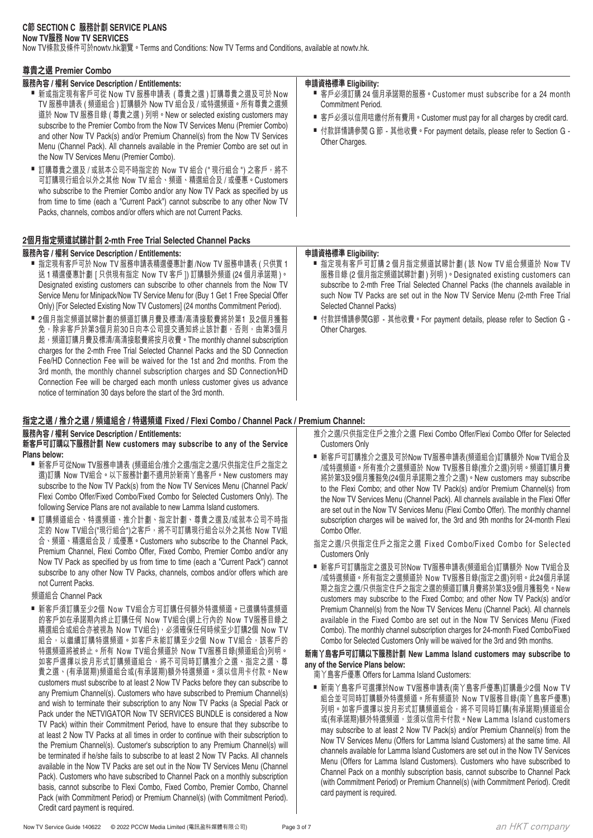### **C節 SECTION C 服務計劃 SERVICE PLANS Now TV服務 Now TV SERVICES**

Now TV條款及條件可於nowtv.hk瀏覽。Terms and Conditions: Now TV Terms and Conditions, available at nowtv.hk.

### **尊貴之選 Premier Combo**

### **服務內容 / 權利 Service Description / Entitlements:**

- 新或指定現有客戶可從 Now TV 服務申請表 ( 尊貴之選 ) 訂購尊貴之選及可於 Now TV 服務申請表 ( 頻道組合 ) 訂購額外 Now TV 組合及 / 或特選頻道。所有尊貴之選頻 道於 Now TV 服務目錄 ( 尊貴之選 ) 列明。New or selected existing customers may subscribe to the Premier Combo from the Now TV Services Menu (Premier Combo) and other Now TV Pack(s) and/or Premium Channel(s) from the Now TV Services Menu (Channel Pack). All channels available in the Premier Combo are set out in the Now TV Services Menu (Premier Combo).
- 訂購尊貴之選及 / 或就本公司不時指定的 Now TV 組合 ("現行組合 ") 之客戶, 將不 可訂購現行組合以外之其他 Now TV 組合、頻道、精選組合及 / 或優惠。Customers who subscribe to the Premier Combo and/or any Now TV Pack as specified by us from time to time (each a "Current Pack") cannot subscribe to any other Now TV Packs, channels, combos and/or offers which are not Current Packs.

### **2個月指定頻道試睇計劃 2-mth Free Trial Selected Channel Packs**

### **服務內容 / 權利 Service Description / Entitlements:**

- 指定現有客戶可於 Now TV 服務申請表精選優惠計劃 /Now TV 服務申請表 ( 只供買 1 送 1 精選優惠計劃 [ 只供現有指定 Now TV 客戶 ]) 訂購額外頻道 (24 個月承諾期 )。 Designated existing customers can subscribe to other channels from the Now TV Service Menu for Minipack/Now TV Service Menu for (Buy 1 Get 1 Free Special Offer Only) [For Selected Existing Now TV Customers] (24 months Commitment Period).
- 2個月指定頻道試睇計劃的頻道訂購月費及標清/高清接駁費將於第1 及2個月獲豁 免,除非客戶於第3個月前30日向本公司提交通知終止該計劃,否則,由第3個月 起,頻道訂購月費及標清/高清接駁費將按月收費。The monthly channel subscription charges for the 2-mth Free Trial Selected Channel Packs and the SD Connection Fee/HD Connection Fee will be waived for the 1st and 2nd months. From the 3rd month, the monthly channel subscription charges and SD Connection/HD Connection Fee will be charged each month unless customer gives us advance notice of termination 30 days before the start of the 3rd month.

## **指定之選 / 推介之選 / 頻道組合 / 特選頻道 Fixed / Flexi Combo / Channel Pack / Premium Channel:**

### **服務內容 / 權利 Service Description / Entitlements:**

#### **新客戶可訂購以下服務計劃 New customers may subscribe to any of the Service Plans below:**

- 新客戶可從Now TV服務申請表 (頻道組合/推介之選/指定之選/只供指定住戶之指定之 選)訂購 Now TV組合。以下服務計劃不適用於新南丫島客戶。New customers may subscribe to the Now TV Pack(s) from the Now TV Services Menu (Channel Pack/ Flexi Combo Offer/Fixed Combo/Fixed Combo for Selected Customers Only). The following Service Plans are not available to new Lamma Island customers.
- 訂購頻道組合、特選頻道、推介計劃、指定計劃、尊貴之選及/或就本公司不時指 定的 Now TV組合("現行組合")之客戶,將不可訂購現行組合以外之其他 Now TV組 合、頻道、精選組合及 / 或優惠。Customers who subscribe to the Channel Pack, Premium Channel, Flexi Combo Offer, Fixed Combo, Premier Combo and/or any Now TV Pack as specified by us from time to time (each a "Current Pack") cannot subscribe to any other Now TV Packs, channels, combos and/or offers which are not Current Packs.

頻道組合 Channel Pack

■ 新客戶須訂購至少2個 Now TV組合方可訂購任何額外特選頻道。已選購特選頻道 的客戶如在承諾期內終止訂購任何 Now TV組合(網上行內的 Now TV服務目錄之 精選組合或組合亦被視為 Now TV組合),必須確保任何時候至少訂購2個 Now TV 組合,以繼續訂購特選頻道。如客戶未能訂購至少2個 Now TV組合,該客戶的 特選頻道將被終止。所有 Now TV組合頻道於 Now TV服務目錄(頻道組合)列明。 如客戶選擇以按月形式訂購頻道組合,將不可同時訂購推介之選、指定之選、尊 貴之選、(有承諾期)頻道組合或(有承諾期)額外特選頻道。須以信用卡付款。New customers must subscribe to at least 2 Now TV Packs before they can subscribe to any Premium Channel(s). Customers who have subscribed to Premium Channel(s) and wish to terminate their subscription to any Now TV Packs (a Special Pack or Pack under the NETVIGATOR Now TV SERVICES BUNDLE is considered a Now TV Pack) within their Commitment Period, have to ensure that they subscribe to at least 2 Now TV Packs at all times in order to continue with their subscription to the Premium Channel(s). Customer's subscription to any Premium Channel(s) will be terminated if he/she fails to subscribe to at least 2 Now TV Packs. All channels available in the Now TV Packs are set out in the Now TV Services Menu (Channel Pack). Customers who have subscribed to Channel Pack on a monthly subscription basis, cannot subscribe to Flexi Combo, Fixed Combo, Premier Combo, Channel Pack (with Commitment Period) or Premium Channel(s) (with Commitment Period). Credit card payment is required.

### **申請資格標準 Eligibility:**

- 客戶必須訂購 24 個月承諾期的服務。Customer must subscribe for a 24 month Commitment Period.
- 客戶必須以信用咭繳付所有費用。Customer must pay for all charges by credit card.
- 付款詳情請參閲 G 節 其他收費。For payment details, please refer to Section G -Other Charges.

### **申請資格標準 Eligibility:**

- 指定現有客戶可訂購 2 個月指定頻道試睇計劃 ( 該 Now TV 組合頻道於 Now TV 服務目錄 (2 個月指定頻道試睇計劃 ) 列明 )。Designated existing customers can subscribe to 2-mth Free Trial Selected Channel Packs (the channels available in such Now TV Packs are set out in the Now TV Service Menu (2-mth Free Trial Selected Channel Packs)
- 付款詳情請參閲G節 其他收費。For payment details, please refer to Section G -Other Charges.

- 推介之選/只供指定住戶之推介之選 Flexi Combo Offer/Flexi Combo Offer for Selected Customers Only
- 新客戶可訂購推介之選及可於Now TV服務申請表(頻道組合)訂購額外 Now TV組合及 /或特選頻道。所有推介之選頻道於 Now TV服務目錄(推介之選)列明。頻道訂購月費 將於第3及9個月獲豁免(24個月承諾期之推介之選)。New customers may subscribe to the Flexi Combo; and other Now TV Pack(s) and/or Premium Channel(s) from the Now TV Services Menu (Channel Pack). All channels available in the Flexi Offer are set out in the Now TV Services Menu (Flexi Combo Offer). The monthly channel subscription charges will be waived for, the 3rd and 9th months for 24-month Flexi Combo Offer.
- 指定之選/只供指定住戶之指定之選 Fixed Combo/Fixed Combo for Selected Customers Only
- 新客戶可訂購指定之選及可於Now TV服務申請表(頻道組合)訂購額外 Now TV組合及 /或特選頻道。所有指定之選頻道於 Now TV服務目錄(指定之選)列明。此24個月承諾 期之指定之選/只供指定住戶之指定之選的頻道訂購月費將於第3及9個月獲豁免。New customers may subscribe to the Fixed Combo; and other Now TV Pack(s) and/or Premium Channel(s) from the Now TV Services Menu (Channel Pack). All channels available in the Fixed Combo are set out in the Now TV Services Menu (Fixed Combo). The monthly channel subscription charges for 24-month Fixed Combo/Fixed Combo for Selected Customers Only will be waived for the 3rd and 9th months.

### **新南丫島客戶可訂購以下服務計劃 New Lamma Island customers may subscribe to any of the Service Plans below:**

- 南丫島客戶優惠 Offers for Lamma Island Customers:
- 新南丫島客戶可選擇於Now TV服務申請表(南丫島客戶優惠)訂購最少2個 Now TV 組合並可同時訂購額外特選頻道。所有頻道於 Now TV服務目錄(南丫島客戶優惠) 列明。如客戶選擇以按月形式訂購頻道組合,將不可同時訂購(有承諾期)頻道組合 或(有承諾期)額外特選頻道,並須以信用卡付款。New Lamma Island customers may subscribe to at least 2 Now TV Pack(s) and/or Premium Channel(s) from the Now TV Services Menu (Offers for Lamma Island Customers) at the same time. All channels available for Lamma Island Customers are set out in the Now TV Services Menu (Offers for Lamma Island Customers). Customers who have subscribed to Channel Pack on a monthly subscription basis, cannot subscribe to Channel Pack (with Commitment Period) or Premium Channel(s) (with Commitment Period). Credit card payment is required.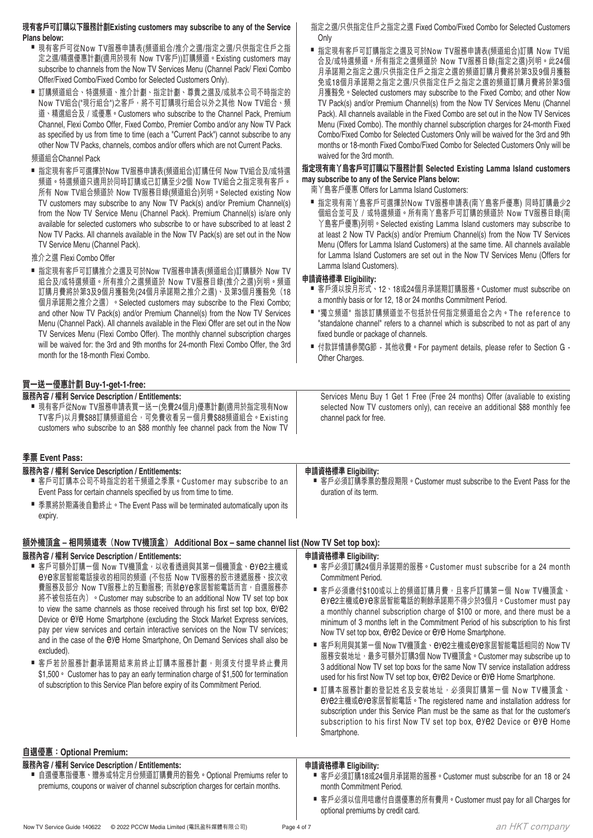| 現有各戶可訂購以下服務計劃Existing customers may subscribe to any of the Service<br>Plans below:<br>■ 現有客戶可從Now TV服務申請表(頻道組合/推介之選/指定之選/只供指定住戶之指<br>定之選/精選優惠計劃(適用於現有 Now TV客戶))訂購頻道。Existing customers may<br>subscribe to channels from the Now TV Services Menu (Channel Pack/ Flexi Combo<br>Offer/Fixed Combo/Fixed Combo for Selected Customers Only).<br>■ 訂購頻道組合、特選頻道、推介計劃、指定計劃、尊貴之選及/或就本公司不時指定的<br>Now TV組合("現行組合")之客戶,將不可訂購現行組合以外之其他 Now TV組合、頻<br>道、精選組合及 / 或優惠。Customers who subscribe to the Channel Pack, Premium<br>Channel, Flexi Combo Offer, Fixed Combo, Premier Combo and/or any Now TV Pack<br>as specified by us from time to time (each a "Current Pack") cannot subscribe to any<br>other Now TV Packs, channels, combos and/or offers which are not Current Packs.<br>頻道組合Channel Pack                                      | 指定之選/只供指定住尸之指定之選 Fixed Combo/Fixed Combo for Selected Customers<br>Only<br>■ 指定現有客戶可訂購指定之選及可於Now TV服務申請表(頻道組合)訂購 Now TV組<br>合及/或特選頻道。所有指定之選頻道於 Now TV服務目錄(指定之選)列明。此24個<br>月承諾期之指定之選/只供指定住戶之指定之選的頻道訂購月費將於第3及9個月獲豁<br>免或18個月承諾期之指定之選/只供指定住戶之指定之選的頻道訂購月費將於第3個<br>月獲豁免 • Selected customers may subscribe to the Fixed Combo; and other Now<br>TV Pack(s) and/or Premium Channel(s) from the Now TV Services Menu (Channel<br>Pack). All channels available in the Fixed Combo are set out in the Now TV Services<br>Menu (Fixed Combo). The monthly channel subscription charges for 24-month Fixed<br>Combo/Fixed Combo for Selected Customers Only will be waived for the 3rd and 9th<br>months or 18-month Fixed Combo/Fixed Combo for Selected Customers Only will be<br>waived for the 3rd month.                                                                                                                                                                                                              |
|---------------------------------------------------------------------------------------------------------------------------------------------------------------------------------------------------------------------------------------------------------------------------------------------------------------------------------------------------------------------------------------------------------------------------------------------------------------------------------------------------------------------------------------------------------------------------------------------------------------------------------------------------------------------------------------------------------------------------------------------------------------------------------------------------------------------------------------|------------------------------------------------------------------------------------------------------------------------------------------------------------------------------------------------------------------------------------------------------------------------------------------------------------------------------------------------------------------------------------------------------------------------------------------------------------------------------------------------------------------------------------------------------------------------------------------------------------------------------------------------------------------------------------------------------------------------------------------------------------------------------------------------------------------------------------------------------------------------------------------------------------------------------------------------------------------------------------------------------------------|
| ■ 指定現有客戶可選擇於Now TV服務申請表(頻道組合)訂購任何 Now TV組合及/或特選<br>頻道。特選頻道只適用於同時訂購或已訂購至少2個 Now TV組合之指定現有客戶。                                                                                                                                                                                                                                                                                                                                                                                                                                                                                                                                                                                                                                                                                                                                           | 指定現有南丫島客戶可訂購以下服務計劃 Selected Existing Lamma Island customers<br>may subscribe to any of the Service Plans below:                                                                                                                                                                                                                                                                                                                                                                                                                                                                                                                                                                                                                                                                                                                                                                                                                                                                                                  |
| 所有 Now TV組合頻道於 Now TV服務目錄(頻道組合)列明。Selected existing Now<br>TV customers may subscribe to any Now TV Pack(s) and/or Premium Channel(s)<br>from the Now TV Service Menu (Channel Pack). Premium Channel(s) is/are only<br>available for selected customers who subscribe to or have subscribed to at least 2<br>Now TV Packs. All channels available in the Now TV Pack(s) are set out in the Now<br>TV Service Menu (Channel Pack).<br>推介之選 Flexi Combo Offer<br>■ 指定現有客戶可訂購推介之選及可於Now TV服務申請表(頻道組合)訂購額外 Now TV<br>組合及/或特選頻道。所有推介之選頻道於 Now TV服務目錄(推介之選)列明。頻道<br>訂購月費將於第3及9個月獲豁免(24個月承諾期之推介之選)、及第3個月獲豁免(18                                                                                                                                                                                                                              | 南丫島客戶優惠 Offers for Lamma Island Customers:<br>■ 指定現有南丫島客戶可選擇於Now TV服務申請表(南丫島客戶優惠) 同時訂購最少2<br>個組合並可及 / 或特選頻道。所有南丫島客戶可訂購的頻道於 Now TV服務目錄(南<br>丫島客戶優惠)列明。Selected existing Lamma Island customers may subscribe to<br>at least 2 Now TV Pack(s) and/or Premium Channel(s) from the Now TV Services<br>Menu (Offers for Lamma Island Customers) at the same time. All channels available<br>for Lamma Island Customers are set out in the Now TV Services Menu (Offers for<br>Lamma Island Customers).<br>申請資格標準 Eligibility:<br>■ 客戶須以按月形式、12、18或24個月承諾期訂購服務。Customer must subscribe on                                                                                                                                                                                                                                                                                                                                                                                                                              |
| 個月承諾期之推介之選)。Selected customers may subscribe to the Flexi Combo;                                                                                                                                                                                                                                                                                                                                                                                                                                                                                                                                                                                                                                                                                                                                                                      | a monthly basis or for 12, 18 or 24 months Commitment Period.<br>■ "獨立頻道" 指該訂購頻道並不包括於任何指定頻道組合之內。The reference to                                                                                                                                                                                                                                                                                                                                                                                                                                                                                                                                                                                                                                                                                                                                                                                                                                                                                                 |
| and other Now TV Pack(s) and/or Premium Channel(s) from the Now TV Services<br>Menu (Channel Pack). All channels available in the Flexi Offer are set out in the Now<br>TV Services Menu (Flexi Combo Offer). The monthly channel subscription charges                                                                                                                                                                                                                                                                                                                                                                                                                                                                                                                                                                                | "standalone channel" refers to a channel which is subscribed to not as part of any<br>fixed bundle or package of channels.                                                                                                                                                                                                                                                                                                                                                                                                                                                                                                                                                                                                                                                                                                                                                                                                                                                                                       |
| will be waived for: the 3rd and 9th months for 24-month Flexi Combo Offer, the 3rd<br>month for the 18-month Flexi Combo.                                                                                                                                                                                                                                                                                                                                                                                                                                                                                                                                                                                                                                                                                                             | ■ 付款詳情請參閲G節 - 其他收費。For payment details, please refer to Section G -<br>Other Charges.                                                                                                                                                                                                                                                                                                                                                                                                                                                                                                                                                                                                                                                                                                                                                                                                                                                                                                                            |
| 買一送一優惠計劃 Buy-1-get-1-free:                                                                                                                                                                                                                                                                                                                                                                                                                                                                                                                                                                                                                                                                                                                                                                                                            |                                                                                                                                                                                                                                                                                                                                                                                                                                                                                                                                                                                                                                                                                                                                                                                                                                                                                                                                                                                                                  |
| 服務內容 / 權利 Service Description / Entitlements:<br>■ 現有客戶從Now TV服務申請表買一送一(免費24個月)優惠計劃(適用於指定現有Now<br>TV客戶)以月費\$88訂購頻道組合,可免費收看另一個月費\$88頻道組合。Existing<br>customers who subscribe to an \$88 monthly fee channel pack from the Now TV                                                                                                                                                                                                                                                                                                                                                                                                                                                                                                                                                                                                       | Services Menu Buy 1 Get 1 Free (Free 24 months) Offer (avaliable to existing<br>selected Now TV customers only), can receive an additional \$88 monthly fee<br>channel pack for free.                                                                                                                                                                                                                                                                                                                                                                                                                                                                                                                                                                                                                                                                                                                                                                                                                            |
| 季票 Event Pass:                                                                                                                                                                                                                                                                                                                                                                                                                                                                                                                                                                                                                                                                                                                                                                                                                        |                                                                                                                                                                                                                                                                                                                                                                                                                                                                                                                                                                                                                                                                                                                                                                                                                                                                                                                                                                                                                  |
| 服務內容 / 權利 Service Description / Entitlements:<br>■ 客戶可訂購本公司不時指定的若干頻道之季票。Customer may subscribe to an<br>Event Pass for certain channels specified by us from time to time.                                                                                                                                                                                                                                                                                                                                                                                                                                                                                                                                                                                                                                                            | 申請資格標準 Eligibility:<br>■ 客戶必須訂購季票的整段期限。Customer must subscribe to the Event Pass for the<br>duration of its term.                                                                                                                                                                                                                                                                                                                                                                                                                                                                                                                                                                                                                                                                                                                                                                                                                                                                                                |
| ■ 季票將於期滿後自動終止。The Event Pass will be terminated automatically upon its<br>expiry.                                                                                                                                                                                                                                                                                                                                                                                                                                                                                                                                                                                                                                                                                                                                                     |                                                                                                                                                                                                                                                                                                                                                                                                                                                                                                                                                                                                                                                                                                                                                                                                                                                                                                                                                                                                                  |
| 額外機頂盒 – 相同頻道表(Now TV機頂盒) Additional Box – same channel list (Now TV Set top box):                                                                                                                                                                                                                                                                                                                                                                                                                                                                                                                                                                                                                                                                                                                                                     |                                                                                                                                                                                                                                                                                                                                                                                                                                                                                                                                                                                                                                                                                                                                                                                                                                                                                                                                                                                                                  |
| 服務內容 / 權利 Service Description / Entitlements:<br>■ 客戶可額外訂購一個 Now TV機頂盒,以收看透過與其第一個機頂盒、eye2主機或<br>eye家居智能電話接收的相同的頻道 (不包括 Now TV服務的股市速遞服務、按次收<br>費服務及部分 Now TV服務上的互動服務; 而就eVe家居智能電話而言, 自選服務亦<br>將不被包括在內)。Customer may subscribe to an additional Now TV set top box<br>to view the same channels as those received through his first set top box, eye2<br>Device or $e$ Ye Home Smartphone (excluding the Stock Market Express services,<br>pay per view services and certain interactive services on the Now TV services;<br>and in the case of the EYE Home Smartphone, On Demand Services shall also be<br>excluded).<br>■ 客戶若於服務計劃承諾期結束前終止訂購本服務計劃,則須支付提早終止費用<br>\$1,500 • Customer has to pay an early termination charge of \$1,500 for termination<br>of subscription to this Service Plan before expiry of its Commitment Period. | 申請資格標準 Eligibility:<br>■ 客戶必須訂購24個月承諾期的服務。Customer must subscribe for a 24 month<br>Commitment Period.<br>■ 客戶必須繳付\$100或以上的頻道訂購月費,且客戶訂購第一個 Now TV機頂盒、<br>eye2主機或eye家居智能電話的剩餘承諾期不得少於3個月。Customer must pay<br>a monthly channel subscription charge of \$100 or more, and there must be a<br>minimum of 3 months left in the Commitment Period of his subscription to his first<br>Now TV set top box, $eye2$ Device or $eye$ Home Smartphone.<br>■ 客戶利用與其第一個 Now TV機頂盒、eye2主機或eye家居智能電話相同的 Now TV<br>服務安裝地址,最多可額外訂購3個 Now TV機頂盒。Customer may subscribe up to<br>3 additional Now TV set top boxs for the same Now TV service installation address<br>used for his first Now TV set top box, $eye$ 2 Device or $eye$ Home Smartphone.<br>■ 訂購本服務計劃的登記姓名及安裝地址,必須與訂購第一個 Now TV機頂盒、<br>eye2主機或eye家居智能電話。The registered name and installation address for<br>subscription under this Service Plan must be the same as that for the customer's<br>subscription to his first Now TV set top box, eye2 Device or eye Home |
|                                                                                                                                                                                                                                                                                                                                                                                                                                                                                                                                                                                                                                                                                                                                                                                                                                       | Smartphone.                                                                                                                                                                                                                                                                                                                                                                                                                                                                                                                                                                                                                                                                                                                                                                                                                                                                                                                                                                                                      |
| 自選優惠: Optional Premium:                                                                                                                                                                                                                                                                                                                                                                                                                                                                                                                                                                                                                                                                                                                                                                                                               |                                                                                                                                                                                                                                                                                                                                                                                                                                                                                                                                                                                                                                                                                                                                                                                                                                                                                                                                                                                                                  |
| 服務內容 / 權利 Service Description / Entitlements:<br>■ 自選優惠指優惠、贈券或特定月份頻道訂購費用的豁免。Optional Premiums refer to<br>premiums, coupons or waiver of channel subscription charges for certain months.                                                                                                                                                                                                                                                                                                                                                                                                                                                                                                                                                                                                                                             | 申請資格標準 Eligibility:<br>■ 客戶必須訂購18或24個月承諾期的服務。Customer must subscribe for an 18 or 24<br>month Commitment Period.<br>■ 客戶必須以信用咭繳付自選優惠的所有費用。Customer must pay for all Charges for                                                                                                                                                                                                                                                                                                                                                                                                                                                                                                                                                                                                                                                                                                                                                                                                                                  |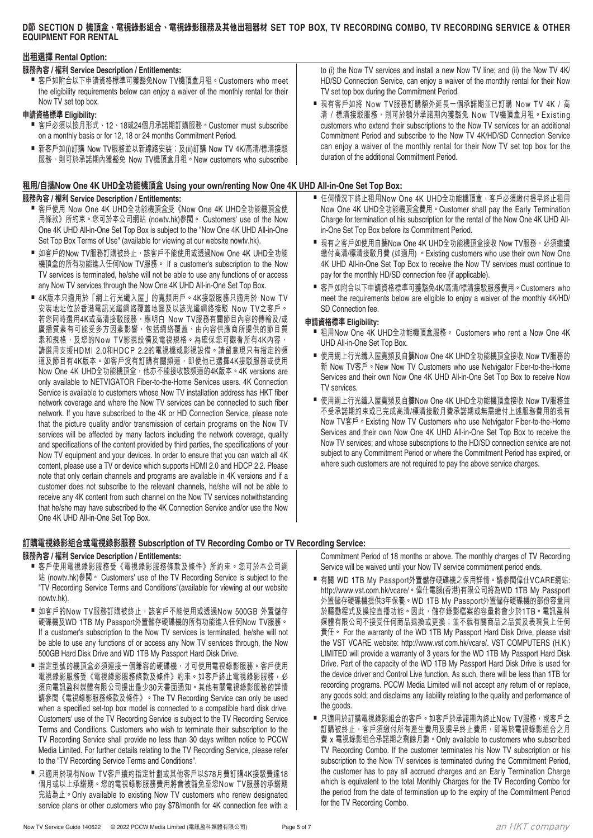### **D節 SECTION D 機頂盒、電視錄影組合、電視錄影服務及其他出租器材 SET TOP BOX, TV RECORDING COMBO, TV RECORDING SERVICE & OTHER EQUIPMENT FOR RENTAL**

### **出租選擇 Rental Option:**

### **服務內容 / 權利 Service Description / Entitlements:**

■ 客戶如附合以下申請資格標準可獲豁免Now TV機頂盒月租。Customers who meet the eligibility requirements below can enjoy a waiver of the monthly rental for their Now TV set top box.

### **申請資格標準 Eligibility:**

- 客戶必須以按月形式、12、18或24個月承諾期訂購服務。Customer must subscribe on a monthly basis or for 12, 18 or 24 months Commitment Period.
- 新客戶如(i)訂購 Now TV服務並以新線路安裝;及(ii)訂購 Now TV 4K/高清/標清接駁 服務,則可於承諾期內獲豁免 Now TV機頂盒月租。New customers who subscribe

### **租用/自攜Now One 4K UHD全功能機頂盒 Using your own/renting Now One 4K UHD All-in-One Set Top Box:**

### **服務內容 / 權利 Service Description / Entitlements:**

- 客戶使用 Now One 4K UHD全功能機頂盒受《Now One 4K UHD全功能機頂盒使 用條款》所約束。您可於本公司網站 (nowtv.hk)參閱。 Customers' use of the Now One 4K UHD All-in-One Set Top Box is subject to the "Now One 4K UHD All-in-One Set Top Box Terms of Use" (available for viewing at our website nowtv.hk).
- 如客戶的Now TV服務訂購被終止,該客戶不能使用或透過Now One 4K UHD全功能 機頂盒的所有功能進入任何Now TV服務。 If a customer's subscription to the Now TV services is terminated, he/she will not be able to use any functions of or access any Now TV services through the Now One 4K UHD All-in-One Set Top Box.
- 4K版本只適用於「網上行光纖入屋」的寬頻用戶。4K接駁服務只適用於 Now TV 安裝地址位於香港電訊光纖網絡覆蓋地區及以該光纖網絡接駁 Now TV之客戶。 若您同時選用4K或高清接駁服務,應明白 Now TV服務有關節目內容的傳輸及/或 廣播質素有可能受多方因素影響,包括網絡覆蓋、由內容供應商所提供的節目質 素和規格,及您的Now TV影視設備及電視規格。為確保您可觀看所有4K內容, 請選用支援HDMI 2.0和HDCP 2.2的電視機或影視設備。請留意現只有指定的頻 道及節目有4K版本。如客戶沒有訂購有關頻道,即使他已選擇4K接駁服務或使用 Now One 4K UHD全功能機頂盒, 他亦不能接收該頻道的4K版本。4K versions are only available to NETVIGATOR Fiber-to-the-Home Services users. 4K Connection Service is available to customers whose Now TV installation address has HKT fiber network coverage and where the Now TV services can be connected to such fiber network. If you have subscribed to the 4K or HD Connection Service, please note that the picture quality and/or transmission of certain programs on the Now TV services will be affected by many factors including the network coverage, quality and specifications of the content provided by third parties, the specifications of your Now TV equipment and your devices. In order to ensure that you can watch all 4K content, please use a TV or device which supports HDMI 2.0 and HDCP 2.2. Please note that only certain channels and programs are available in 4K versions and if a customer does not subscribe to the relevant channels, he/she will not be able to receive any 4K content from such channel on the Now TV services notwithstanding that he/she may have subscribed to the 4K Connection Service and/or use the Now One 4K UHD All-in-One Set Top Box.

**訂購電視錄影組合或電視錄影服務 Subscription of TV Recording Combo or TV Recording Service:**

### **服務內容 / 權利 Service Description / Entitlements:**

- 客戶使用電視錄影服務受《電視錄影服務條款及條件》所約束。您可於本公司網 站 (nowtv.hk)參閱。 Customers' use of the TV Recording Service is subject to the "TV Recording Service Terms and Conditions"(available for viewing at our website nowtv.hk).
- 如客戶的Now TV服務訂購被終止,該客戶不能使用或透過Now 500GB 外置儲存 硬碟機及WD 1TB My Passport外置儲存硬碟機的所有功能進入任何Now TV服務。 If a customer's subscription to the Now TV services is terminated, he/she will not be able to use any functions of or access any Now TV services through, the Now 500GB Hard Disk Drive and WD 1TB My Passport Hard Disk Drive.
- 指定型號的機頂盒必須連接一個兼容的硬碟機,才可使用電視錄影服務。客戶使用 電視錄影服務受《電視錄影服務條款及條件》約束。如客戶終止電視錄影服務,必 須向電訊盈科媒體有限公司提出最少30天書面通知。其他有關電視錄影服務的詳情 請參閱《電視錄影服務條款及條件》。The TV Recording Service can only be used when a specified set-top box model is connected to a compatible hard disk drive. Customers' use of the TV Recording Service is subject to the TV Recording Service Terms and Conditions. Customers who wish to terminate their subscription to the TV Recording Service shall provide no less than 30 days written notice to PCCW Media Limited. For further details relating to the TV Recording Service, please refer to the "TV Recording Service Terms and Conditions".
- 只適用於現有Now TV客戶續約指定計劃或其他客戶以\$78月費訂購4K接駁費達18 個月或以上承諾期。您的電視錄影服務費用將會被豁免至您Now TV服務的承諾期 完結為止。Only available to existing Now TV customers who renew designated service plans or other customers who pay \$78/month for 4K connection fee with a

to (i) the Now TV services and install a new Now TV line; and (ii) the Now TV 4K/ HD/SD Connection Service, can enjoy a waiver of the monthly rental for their Now TV set top box during the Commitment Period.

- 現有客戶如將 Now TV服務訂購額外延長一個承諾期並已訂購 Now TV 4K / 高 清 / 標清接駁服務,則可於額外承諾期內獲豁免 Now TV機頂盒月租。Existing customers who extend their subscriptions to the Now TV services for an additional Commitment Period and subscribe to the Now TV 4K/HD/SD Connection Service can enjoy a waiver of the monthly rental for their Now TV set top box for the duration of the additional Commitment Period.
- 任何情況下終止租用Now One 4K UHD全功能機頂盒,客戶必須繳付提早終止租用 Now One 4K UHD全功能機頂盒費用。Customer shall pay the Early Termination Charge for termination of his subscription for the rental of the Now One 4K UHD Allin-One Set Top Box before its Commitment Period.
- 現有之客戶如使用自攜Now One 4K UHD全功能機頂盒接收 Now TV服務,必須繼續 繳付高清/標清接駁月費 (如適用) 。Existing customers who use their own Now One 4K UHD All-in-One Set Top Box to receive the Now TV services must continue to pay for the monthly HD/SD connection fee (if applicable).
- 客戶如附合以下申請資格標準可獲豁免4K/高清/標清接駁服務費用。Customers who meet the requirements below are eligible to enjoy a waiver of the monthly 4K/HD/ SD Connection fee.

### **申請資格標準 Eligibility:**

- 租用Now One 4K UHD全功能機頂盒服務。 Customers who rent a Now One 4K UHD All-in-One Set Top Box.
- 使用網上行光纖入屋寬頻及自攜Now One 4K UHD全功能機頂盒接收 Now TV服務的 新 Now TV客戶。New Now TV Customers who use Netvigator Fiber-to-the-Home Services and their own Now One 4K UHD All-in-One Set Top Box to receive Now TV services.
- 使用網上行光纖入屋寬頻及自攜Now One 4K UHD全功能機頂盒接收 Now TV服務並 不受承諾期約束或已完成高清/標清接駁月費承諾期或無需繳付上述服務費用的現有 Now TV客戶。Existing Now TV Customers who use Netvigator Fiber-to-the-Home Services and their own Now One 4K UHD All-in-One Set Top Box to receive the Now TV services; and whose subscriptions to the HD/SD connection service are not subject to any Commitment Period or where the Commitment Period has expired, or where such customers are not required to pay the above service charges.

Commitment Period of 18 months or above. The monthly charges of TV Recording Service will be waived until your Now TV service commitment period ends.

- 有關 WD 1TB My Passport外置儲存硬碟機之保用詳情。請參閲偉仕VCARE網站: http://www.vst.com.hk/vcare/。偉仕電腦(香港)有限公司將為WD 1TB My Passport 外置儲存硬碟機提供3年保養。WD 1TB My Passport外置儲存硬碟機的部份容量用 於驅動程式及操控直播功能。因此,儲存錄影檔案的容量將會少於1TB。電訊盈科 媒體有限公司不接受任何商品退換或更換;並不就有關商品之品質及表現負上任何 責任。 For the warranty of the WD 1TB My Passport Hard Disk Drive, please visit the VST VCARE website: http://www.vst.com.hk/vcare/. VST COMPUTERS (H.K.) LIMITED will provide a warranty of 3 years for the WD 1TB My Passport Hard Disk Drive. Part of the capacity of the WD 1TB My Passport Hard Disk Drive is used for the device driver and Control Live function. As such, there will be less than 1TB for recording programs. PCCW Media Limited will not accept any return of or replace, any goods sold; and disclaims any liability relating to the quality and performance of the goods.
- 只適用於訂購電視錄影組合的客戶。如客戶於承諾期內終止Now TV服務,或客戶之 訂購被終止,客戶須繳付所有產生費用及提早終止費用,即等於電視錄影組合之月 費 x 電視錄影組合承諾期之剩餘月數。Only available to customers who subscribed TV Recording Combo. If the customer terminates his Now TV subscription or his subscription to the Now TV services is terminated during the Commitment Period, the customer has to pay all accrued charges and an Early Termination Charge which is equivalent to the total Monthly Charges for the TV Recording Combo for the period from the date of termination up to the expiry of the Commitment Period for the TV Recording Combo.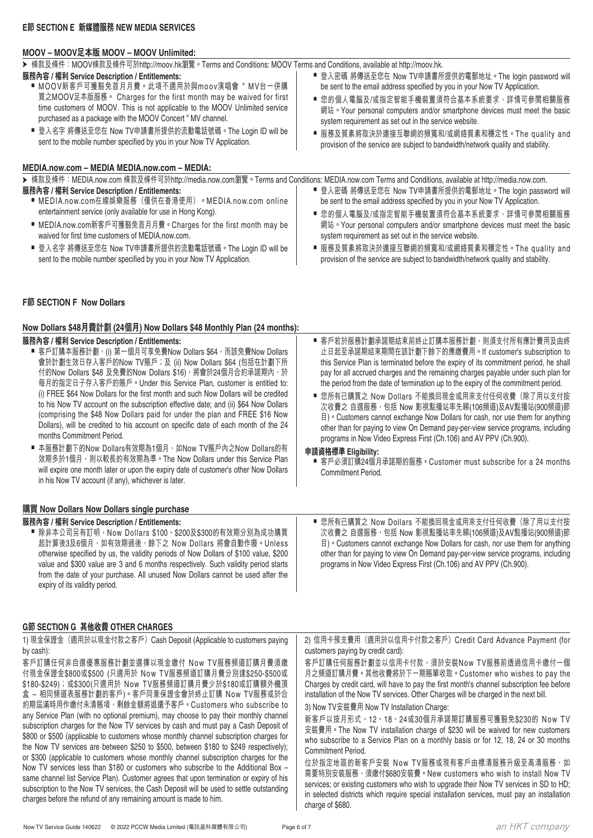### **MOOV – MOOV足本版 MOOV – MOOV Unlimited:**

➤ 條款及條件:MOOV條款及條件可於http://moov.hk瀏覽。Terms and Conditions: MOOV Terms and Conditions, available at http://moov.hk.

**服務內容 / 權利 Service Description / Entitlements:** ■ MOOV新客戶可獲豁免首月月費。此項不適用於與moov演唱會 " MV台一併購 買之MOOV足本版服務。 Charges for the first month may be waived for first time customers of MOOV. This is not applicable to the MOOV Unlimited service purchased as a package with the MOOV Concert " MV channel. ■ 登入名字 將傳送至您在 Now TV申請書所提供的流動電話號碼。The Login ID will be sent to the mobile number specified by you in your Now TV Application. ■ 登入密碼 將傳送至您在 Now TV申請書所提供的電郵地址。The login password will be sent to the email address specified by you in your Now TV Application. ■ 您的個人電腦及/或指定智能手機裝置須符合基本系統要求,詳情可參閱相關服務 網站 • Your personal computers and/or smartphone devices must meet the basic system requirement as set out in the service website. ■ 服務及質素將取決於連接互聯網的頻寬和/或網絡質素和穩定性。The quality and provision of the service are subject to bandwidth/network quality and stability.

### **MEDIA.now.com – MEDIA MEDIA.now.com – MEDIA:**

➤ 條款及條件:MEDIA.now.com 條款及條件可於http://media.now.com瀏覽。Terms and Conditions: MEDIA.now.com Terms and Conditions, available at http://media.now.com.

**申請資格標準 Eligibility:**

Commitment Period.

- **服務內容 / 權利 Service Description / Entitlements:**
	- MEDIA.now.com在線娛樂服務(僅供在香港使用)。MEDIA.now.com online entertainment service (only available for use in Hong Kong).
	- MEDIA.now.com新客戶可獲豁免首月月費。Charges for the first month may be waived for first time customers of MEDIA.now.com.
	- 登入名字 將傳送至您在 Now TV申請書所提供的流動電話號碼。The Login ID will be sent to the mobile number specified by you in your Now TV Application.

### **F節 SECTION F Now Dollars**

### **Now Dollars \$48月費計劃 (24個月) Now Dollars \$48 Monthly Plan (24 months):**

#### **服務內容 / 權利 Service Description / Entitlements:**

- 客戶訂購本服務計劃,(i) 第一個月可享免費Now Dollars \$64,而該免費Now Dollars 會於計劃生效日存入客戶的Now TV賬戶;及 (ii) Now Dollars \$64 (包括在計劃下所 付的Now Dollars \$48 及免費的Now Dollars \$16), 將會於24個月合約承諾期內,於 每月的指定日子存入客戶的賬戶。Under this Service Plan, customer is entitled to: (i) FREE \$64 Now Dollars for the first month and such Now Dollars will be credited to his Now TV account on the subscription effective date; and (ii) \$64 Now Dollars (comprising the \$48 Now Dollars paid for under the plan and FREE \$16 Now Dollars), will be credited to his account on specific date of each month of the 24 months Commitment Period. ■ 客戶若於服務計劃承諾期結束前終止訂購本服務計劃,則須支付所有應計費用及由終 止日起至承諾期結束期間在該計劃下餘下的應繳費用。If customer's subscription to this Service Plan is terminated before the expiry of its commitment period, he shall pay for all accrued charges and the remaining charges payable under such plan for the period from the date of termination up to the expiry of the commitment period. ■ 您所有已購買之 Now Dollars 不能換回現金或用來支付任何收費 (除了用以支付按 次收費之 自選服務,包括 Now 影視點播站率先睇(106頻道)及AV點播站(900頻道)節 目)。Customers cannot exchange Now Dollars for cash, nor use them for anything other than for paying to view On Demand pay-per-view service programs, including programs in Now Video Express First (Ch.106) and AV PPV (Ch.900).
	- 本服務計劃下的Now Dollars有效期為1個月,如Now TV賬戶內之Now Dollars的有 效期多於1個月,則以較長的有效期為準。The Now Dollars under this Service Plan will expire one month later or upon the expiry date of customer's other Now Dollars in his Now TV account (if any), whichever is later.

### **購買 Now Dollars Now Dollars single purchase**

#### **服務內容 / 權利 Service Description / Entitlements:** ■ 除非本公司另有訂明, Now Dollars \$100、\$200及\$300的有效期分別為成功購買 起計算後3及6個月,如有效期過後,餘下之 Now Dollars 將會自動作廢。Unless otherwise specified by us, the validity periods of Now Dollars of \$100 value, \$200 value and \$300 value are 3 and 6 months respectively. Such validity period starts from the date of your purchase. All unused Now Dollars cannot be used after the expiry of its validity period.

### **G節 SECTION G 其他收費 OTHER CHARGES**

1) 現金保證金(適用於以現金付款之客戶)Cash Deposit (Applicable to customers paying by cash): 客戶訂購任何非自選優惠服務計劃並選擇以現金繳付 Now TV服務頻道訂購月費須繳 付現金保證金\$800或\$500 (只適用於 Now TV服務頻道訂購月費分別達\$250-\$500或 \$180-\$249);或\$300(只適用於 Now TV服務頻道訂購月費少於\$180或訂購額外機頂 盒 – 相同頻道表服務計劃的客戶)。客戶同意保證金會於終止訂購 Now TV服務或於合 約期屆滿時用作繳付未清賬項,剩餘金額將退還予客戶。Customers who subscribe to any Service Plan (with no optional premium), may choose to pay their monthly channel subscription charges for the Now TV services by cash and must pay a Cash Deposit of \$800 or \$500 (applicable to customers whose monthly channel subscription charges for the Now TV services are between \$250 to \$500, between \$180 to \$249 respectively); or \$300 (applicable to customers whose monthly channel subscription charges for the Now TV services less than \$180 or customers who subscribe to the Additional Box – same channel list Service Plan). Customer agrees that upon termination or expiry of his subscription to the Now TV services, the Cash Deposit will be used to settle outstanding charges before the refund of any remaining amount is made to him. customers paying by credit card): 客戶訂購任何服務計劃並以信用卡付款,須於安裝Now TV服務前透過信用卡繳付一個 月之頻道訂購月費。其他收費將於下一期賬單收取。Customer who wishes to pay the Charges by credit card, will have to pay the first month's channel subscription fee before installation of the Now TV services. Other Charges will be charged in the next bill. 3) Now TV安裝費用 Now TV Installation Charge: Commitment Period.

# an HKT company

2) 信用卡預支費用(適用於以信用卡付款之客戶)Credit Card Advance Payment (for

■ 客戶必須訂購24個月承諾期的服務。Customer must subscribe for a 24 months

■ 登入密碼 將傳送至您在 Now TV申請書所提供的電郵地址。The login password will be sent to the email address specified by you in your Now TV Application. ■ 您的個人電腦及/或指定智能手機裝置須符合基本系統要求,詳情可參閱相關服務 網站。Your personal computers and/or smartphone devices must meet the basic

■ 服務及質素將取決於連接互聯網的頻寬和/或網絡質素和穩定性。The quality and provision of the service are subject to bandwidth/network quality and stability.

system requirement as set out in the service website.

■ 您所有已購買之 Now Dollars 不能換回現金或用來支付任何收費 (除了用以支付按 次收費之 自選服務,包括 Now 影視點播站率先睇(106頻道)及AV點播站(900頻道)節 目)。Customers cannot exchange Now Dollars for cash, nor use them for anything other than for paying to view On Demand pay-per-view service programs, including

programs in Now Video Express First (Ch.106) and AV PPV (Ch.900).

新客戶以按月形式、12、18、24或30個月承諾期訂購服務可獲豁免\$230的 Now TV 安裝費用。The Now TV installation charge of \$230 will be waived for new customers who subscribe to a Service Plan on a monthly basis or for 12, 18, 24 or 30 months

位於指定地區的新客戶安裝 Now TV服務或現有客戶由標清服務升級至高清服務,如 需要特別安裝服務,須繳付\$680安裝費。New customers who wish to install Now TV services; or existing customers who wish to upgrade their Now TV services in SD to HD; in selected districts which require special installation services, must pay an installation charge of \$680.